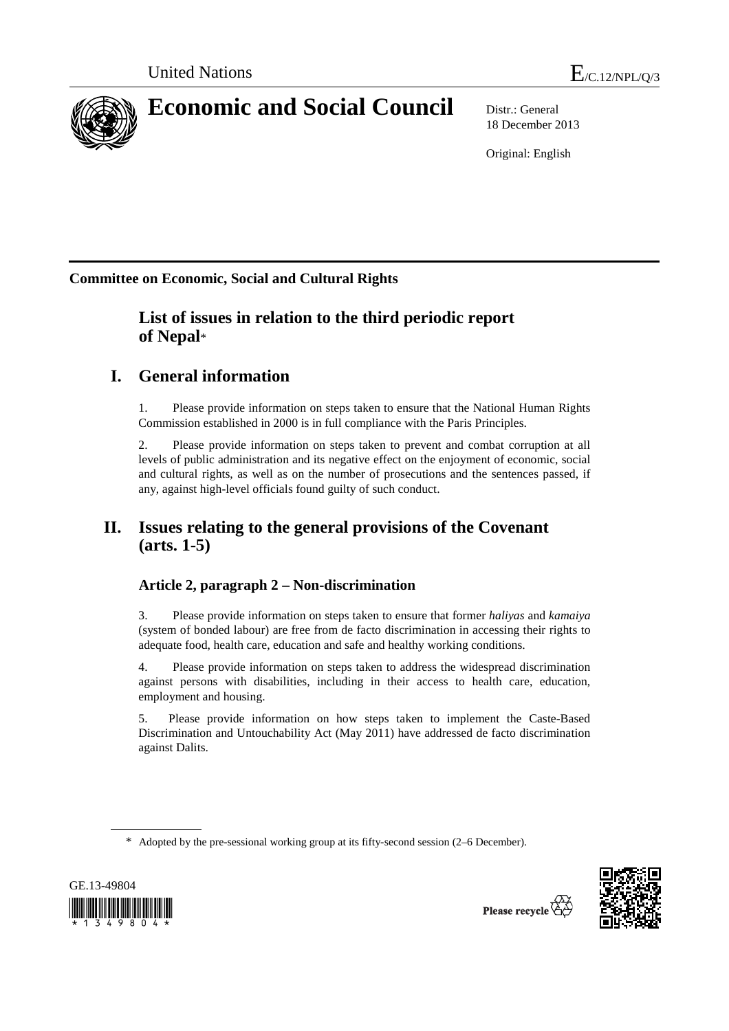

18 December 2013

Original: English

**Committee on Economic, Social and Cultural Rights**

# **List of issues in relation to the third periodic report of Nepal**\*

# **I. General information**

1. Please provide information on steps taken to ensure that the National Human Rights Commission established in 2000 is in full compliance with the Paris Principles.

2. Please provide information on steps taken to prevent and combat corruption at all levels of public administration and its negative effect on the enjoyment of economic, social and cultural rights, as well as on the number of prosecutions and the sentences passed, if any, against high-level officials found guilty of such conduct.

# **II. Issues relating to the general provisions of the Covenant (arts. 1-5)**

# **Article 2, paragraph 2 – Non-discrimination**

3. Please provide information on steps taken to ensure that former *haliyas* and *kamaiya* (system of bonded labour) are free from de facto discrimination in accessing their rights to adequate food, health care, education and safe and healthy working conditions.

4. Please provide information on steps taken to address the widespread discrimination against persons with disabilities, including in their access to health care, education, employment and housing.

5. Please provide information on how steps taken to implement the Caste-Based Discrimination and Untouchability Act (May 2011) have addressed de facto discrimination against Dalits.

<sup>\*</sup> Adopted by the pre-sessional working group at its fifty-second session (2–6 December).



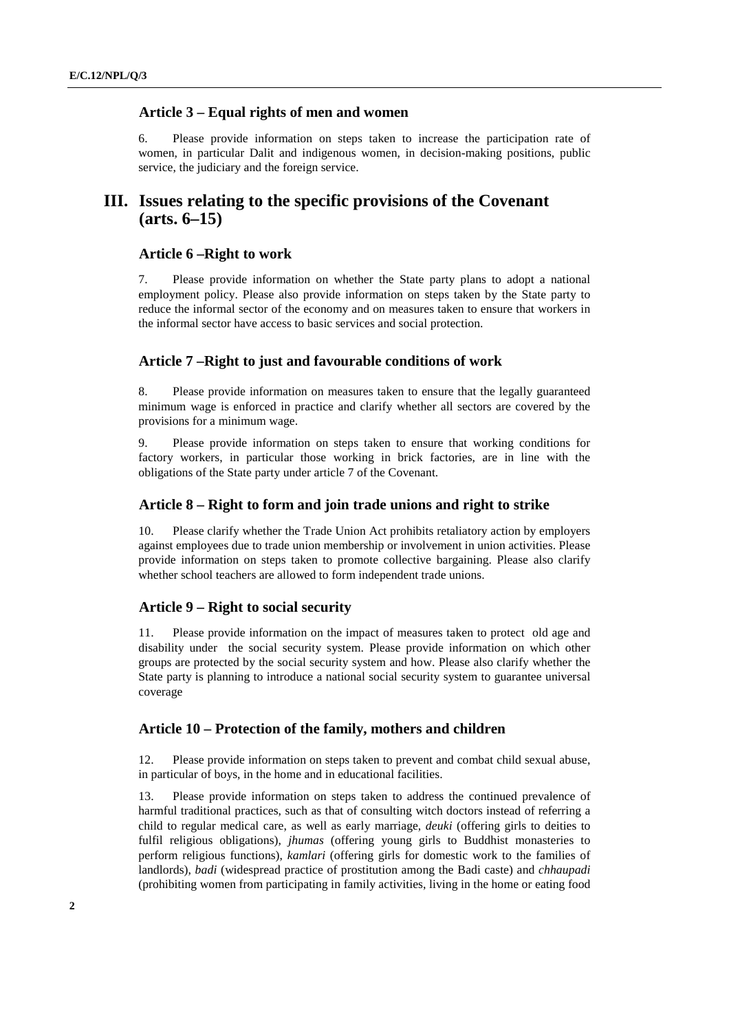## **Article 3 – Equal rights of men and women**

6. Please provide information on steps taken to increase the participation rate of women, in particular Dalit and indigenous women, in decision-making positions, public service, the judiciary and the foreign service.

# **III. Issues relating to the specific provisions of the Covenant (arts. 6–15)**

#### **Article 6 –Right to work**

7. Please provide information on whether the State party plans to adopt a national employment policy. Please also provide information on steps taken by the State party to reduce the informal sector of the economy and on measures taken to ensure that workers in the informal sector have access to basic services and social protection.

### **Article 7 –Right to just and favourable conditions of work**

8. Please provide information on measures taken to ensure that the legally guaranteed minimum wage is enforced in practice and clarify whether all sectors are covered by the provisions for a minimum wage.

9. Please provide information on steps taken to ensure that working conditions for factory workers, in particular those working in brick factories, are in line with the obligations of the State party under article 7 of the Covenant.

### **Article 8 – Right to form and join trade unions and right to strike**

10. Please clarify whether the Trade Union Act prohibits retaliatory action by employers against employees due to trade union membership or involvement in union activities. Please provide information on steps taken to promote collective bargaining. Please also clarify whether school teachers are allowed to form independent trade unions.

#### **Article 9 – Right to social security**

11. Please provide information on the impact of measures taken to protect old age and disability under the social security system. Please provide information on which other groups are protected by the social security system and how. Please also clarify whether the State party is planning to introduce a national social security system to guarantee universal coverage

## **Article 10 – Protection of the family, mothers and children**

12. Please provide information on steps taken to prevent and combat child sexual abuse, in particular of boys, in the home and in educational facilities.

13. Please provide information on steps taken to address the continued prevalence of harmful traditional practices, such as that of consulting witch doctors instead of referring a child to regular medical care, as well as early marriage, *deuki* (offering girls to deities to fulfil religious obligations), *jhumas* (offering young girls to Buddhist monasteries to perform religious functions), *kamlari* (offering girls for domestic work to the families of landlords), *badi* (widespread practice of prostitution among the Badi caste) and *chhaupadi* (prohibiting women from participating in family activities, living in the home or eating food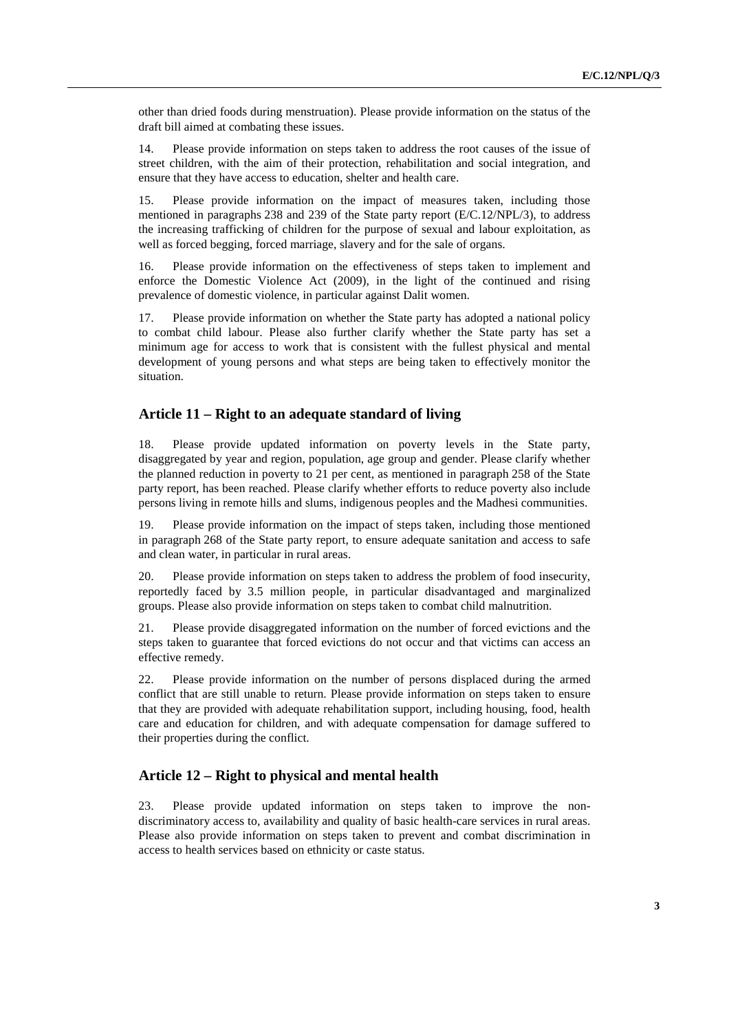other than dried foods during menstruation). Please provide information on the status of the draft bill aimed at combating these issues.

14. Please provide information on steps taken to address the root causes of the issue of street children, with the aim of their protection, rehabilitation and social integration, and ensure that they have access to education, shelter and health care.

15. Please provide information on the impact of measures taken, including those mentioned in paragraphs 238 and 239 of the State party report (E/C.12/NPL/3), to address the increasing trafficking of children for the purpose of sexual and labour exploitation, as well as forced begging, forced marriage, slavery and for the sale of organs.

16. Please provide information on the effectiveness of steps taken to implement and enforce the Domestic Violence Act (2009), in the light of the continued and rising prevalence of domestic violence, in particular against Dalit women.

17. Please provide information on whether the State party has adopted a national policy to combat child labour. Please also further clarify whether the State party has set a minimum age for access to work that is consistent with the fullest physical and mental development of young persons and what steps are being taken to effectively monitor the situation.

#### **Article 11 – Right to an adequate standard of living**

18. Please provide updated information on poverty levels in the State party, disaggregated by year and region, population, age group and gender. Please clarify whether the planned reduction in poverty to 21 per cent, as mentioned in paragraph 258 of the State party report, has been reached. Please clarify whether efforts to reduce poverty also include persons living in remote hills and slums, indigenous peoples and the Madhesi communities.

19. Please provide information on the impact of steps taken, including those mentioned in paragraph 268 of the State party report, to ensure adequate sanitation and access to safe and clean water, in particular in rural areas.

20. Please provide information on steps taken to address the problem of food insecurity, reportedly faced by 3.5 million people, in particular disadvantaged and marginalized groups. Please also provide information on steps taken to combat child malnutrition.

21. Please provide disaggregated information on the number of forced evictions and the steps taken to guarantee that forced evictions do not occur and that victims can access an effective remedy.

22. Please provide information on the number of persons displaced during the armed conflict that are still unable to return. Please provide information on steps taken to ensure that they are provided with adequate rehabilitation support, including housing, food, health care and education for children, and with adequate compensation for damage suffered to their properties during the conflict.

#### **Article 12 – Right to physical and mental health**

23. Please provide updated information on steps taken to improve the nondiscriminatory access to, availability and quality of basic health-care services in rural areas. Please also provide information on steps taken to prevent and combat discrimination in access to health services based on ethnicity or caste status.